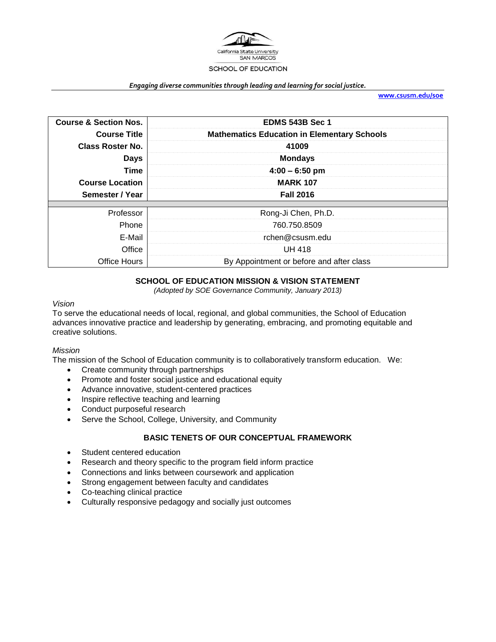

#### *Engaging diverse communities through leading and learning for social justice.*

**[www.csusm.edu/soe](http://www.csusm.edu/soe)**

| <b>Course &amp; Section Nos.</b> | <b>EDMS 543B Sec 1</b>                             |  |
|----------------------------------|----------------------------------------------------|--|
| <b>Course Title</b>              | <b>Mathematics Education in Elementary Schools</b> |  |
| <b>Class Roster No.</b>          | 41009                                              |  |
| <b>Days</b>                      | <b>Mondays</b>                                     |  |
| <b>Time</b>                      | $4:00 - 6:50$ pm                                   |  |
| <b>Course Location</b>           | <b>MARK 107</b>                                    |  |
| Semester / Year                  | <b>Fall 2016</b>                                   |  |
|                                  |                                                    |  |
| Professor                        | Rong-Ji Chen, Ph.D.                                |  |
| Phone                            | 760.750.8509                                       |  |
| E-Mail                           | rchen@csusm.edu                                    |  |
| Office                           | <b>UH 418</b>                                      |  |
| Office Hours                     | By Appointment or before and after class           |  |

# **SCHOOL OF EDUCATION MISSION & VISION STATEMENT**

*(Adopted by SOE Governance Community, January 2013)*

#### *Vision*

To serve the educational needs of local, regional, and global communities, the School of Education advances innovative practice and leadership by generating, embracing, and promoting equitable and creative solutions.

#### *Mission*

The mission of the School of Education community is to collaboratively transform education. We:

- Create community through partnerships
- Promote and foster social justice and educational equity
- Advance innovative, student-centered practices
- Inspire reflective teaching and learning
- Conduct purposeful research
- Serve the School, College, University, and Community

# **BASIC TENETS OF OUR CONCEPTUAL FRAMEWORK**

- Student centered education
- Research and theory specific to the program field inform practice
- Connections and links between coursework and application
- Strong engagement between faculty and candidates
- Co-teaching clinical practice
- Culturally responsive pedagogy and socially just outcomes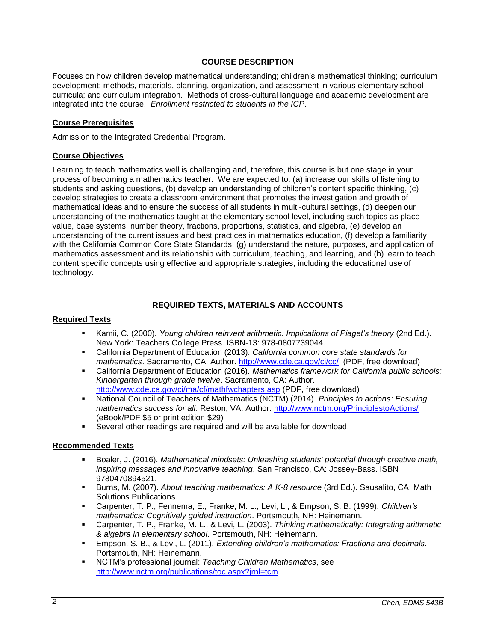# **COURSE DESCRIPTION**

Focuses on how children develop mathematical understanding; children's mathematical thinking; curriculum development; methods, materials, planning, organization, and assessment in various elementary school curricula; and curriculum integration. Methods of cross-cultural language and academic development are integrated into the course. *Enrollment restricted to students in the ICP*.

### **Course Prerequisites**

Admission to the Integrated Credential Program.

### **Course Objectives**

Learning to teach mathematics well is challenging and, therefore, this course is but one stage in your process of becoming a mathematics teacher. We are expected to: (a) increase our skills of listening to students and asking questions, (b) develop an understanding of children's content specific thinking, (c) develop strategies to create a classroom environment that promotes the investigation and growth of mathematical ideas and to ensure the success of all students in multi-cultural settings, (d) deepen our understanding of the mathematics taught at the elementary school level, including such topics as place value, base systems, number theory, fractions, proportions, statistics, and algebra, (e) develop an understanding of the current issues and best practices in mathematics education, (f) develop a familiarity with the California Common Core State Standards, (g) understand the nature, purposes, and application of mathematics assessment and its relationship with curriculum, teaching, and learning, and (h) learn to teach content specific concepts using effective and appropriate strategies, including the educational use of technology.

### **REQUIRED TEXTS, MATERIALS AND ACCOUNTS**

#### **Required Texts**

- Kamii, C. (2000). *Young children reinvent arithmetic: Implications of Piaget's theory* (2nd Ed.). New York: Teachers College Press. ISBN-13: 978-0807739044.
- California Department of Education (2013). *California common core state standards for mathematics*. Sacramento, CA: Author.<http://www.cde.ca.gov/ci/cc/>(PDF, free download)
- California Department of Education (2016). *Mathematics framework for California public schools: Kindergarten through grade twelve*. Sacramento, CA: Author. <http://www.cde.ca.gov/ci/ma/cf/mathfwchapters.asp> (PDF, free download)
- National Council of Teachers of Mathematics (NCTM) (2014). *Principles to actions: Ensuring mathematics success for all*. Reston, VA: Author.<http://www.nctm.org/PrinciplestoActions/> (eBook/PDF \$5 or print edition \$29)
- Several other readings are required and will be available for download.

#### **Recommended Texts**

- Boaler, J. (2016). *Mathematical mindsets: Unleashing students' potential through creative math, inspiring messages and innovative teaching*. San Francisco, CA: Jossey-Bass. ISBN 9780470894521.
- Burns, M. (2007). *About teaching mathematics: A K-8 resource* (3rd Ed.). Sausalito, CA: Math Solutions Publications.
- Carpenter, T. P., Fennema, E., Franke, M. L., Levi, L., & Empson, S. B. (1999). *Children's mathematics: Cognitively guided instruction*. Portsmouth, NH: Heinemann.
- Carpenter, T. P., Franke, M. L., & Levi, L. (2003). *Thinking mathematically: Integrating arithmetic & algebra in elementary school*. Portsmouth, NH: Heinemann.
- Empson, S. B., & Levi, L. (2011). *Extending children's mathematics: Fractions and decimals*. Portsmouth, NH: Heinemann.
- NCTM's professional journal: *Teaching Children Mathematics*, see <http://www.nctm.org/publications/toc.aspx?jrnl=tcm>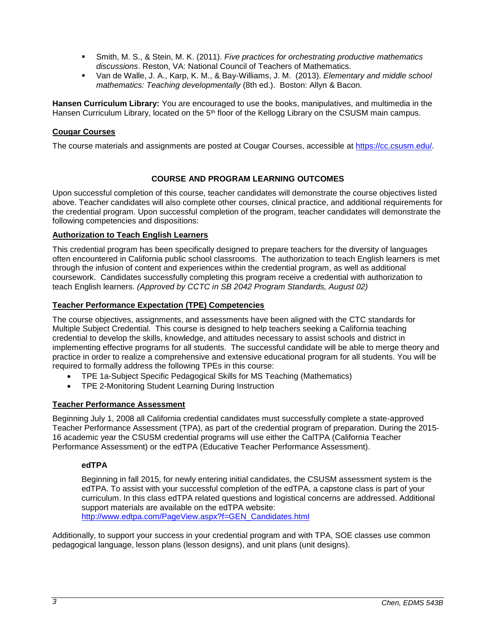- Smith, M. S., & Stein, M. K. (2011). *Five practices for orchestrating productive mathematics discussions*. Reston, VA: National Council of Teachers of Mathematics.
- Van de Walle, J. A., Karp, K. M., & Bay-Williams, J. M. (2013). *Elementary and middle school mathematics: Teaching developmentally* (8th ed.). Boston: Allyn & Bacon.

**Hansen Curriculum Library:** You are encouraged to use the books, manipulatives, and multimedia in the Hansen Curriculum Library, located on the 5<sup>th</sup> floor of the Kellogg Library on the CSUSM main campus.

# **Cougar Courses**

The course materials and assignments are posted at Cougar Courses, accessible at [https://cc.csusm.edu/.](https://cc.csusm.edu/)

# **COURSE AND PROGRAM LEARNING OUTCOMES**

Upon successful completion of this course, teacher candidates will demonstrate the course objectives listed above. Teacher candidates will also complete other courses, clinical practice, and additional requirements for the credential program. Upon successful completion of the program, teacher candidates will demonstrate the following competencies and dispositions:

### **Authorization to Teach English Learners**

This credential program has been specifically designed to prepare teachers for the diversity of languages often encountered in California public school classrooms. The authorization to teach English learners is met through the infusion of content and experiences within the credential program, as well as additional coursework. Candidates successfully completing this program receive a credential with authorization to teach English learners. *(Approved by CCTC in SB 2042 Program Standards, August 02)*

# **Teacher Performance Expectation (TPE) Competencies**

The course objectives, assignments, and assessments have been aligned with the CTC standards for Multiple Subject Credential. This course is designed to help teachers seeking a California teaching credential to develop the skills, knowledge, and attitudes necessary to assist schools and district in implementing effective programs for all students. The successful candidate will be able to merge theory and practice in order to realize a comprehensive and extensive educational program for all students. You will be required to formally address the following TPEs in this course:

- TPE 1a-Subject Specific Pedagogical Skills for MS Teaching (Mathematics)
- TPE 2-Monitoring Student Learning During Instruction

# **Teacher Performance Assessment**

Beginning July 1, 2008 all California credential candidates must successfully complete a state-approved Teacher Performance Assessment (TPA), as part of the credential program of preparation. During the 2015- 16 academic year the CSUSM credential programs will use either the CalTPA (California Teacher Performance Assessment) or the edTPA (Educative Teacher Performance Assessment).

# **edTPA**

Beginning in fall 2015, for newly entering initial candidates, the CSUSM assessment system is the edTPA. To assist with your successful completion of the edTPA, a capstone class is part of your curriculum. In this class edTPA related questions and logistical concerns are addressed. Additional support materials are available on the edTPA website: [http://www.edtpa.com/PageView.aspx?f=GEN\\_Candidates.html](http://www.edtpa.com/PageView.aspx?f=GEN_Candidates.html)

Additionally, to support your success in your credential program and with TPA, SOE classes use common pedagogical language, lesson plans (lesson designs), and unit plans (unit designs).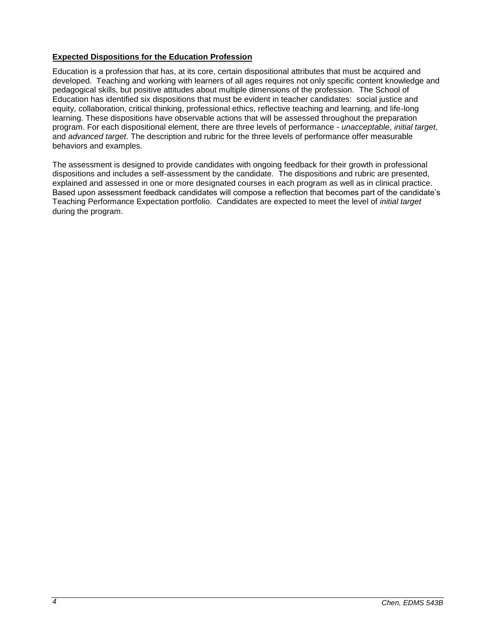# **Expected Dispositions for the Education Profession**

Education is a profession that has, at its core, certain dispositional attributes that must be acquired and developed. Teaching and working with learners of all ages requires not only specific content knowledge and pedagogical skills, but positive attitudes about multiple dimensions of the profession. The School of Education has identified six dispositions that must be evident in teacher candidates: social justice and equity, collaboration, critical thinking, professional ethics, reflective teaching and learning, and life-long learning. These dispositions have observable actions that will be assessed throughout the preparation program. For each dispositional element, there are three levels of performance - *unacceptable*, *initial target*, and *advanced target*. The description and rubric for the three levels of performance offer measurable behaviors and examples.

The assessment is designed to provide candidates with ongoing feedback for their growth in professional dispositions and includes a self-assessment by the candidate. The dispositions and rubric are presented, explained and assessed in one or more designated courses in each program as well as in clinical practice. Based upon assessment feedback candidates will compose a reflection that becomes part of the candidate's Teaching Performance Expectation portfolio. Candidates are expected to meet the level of *initial target* during the program.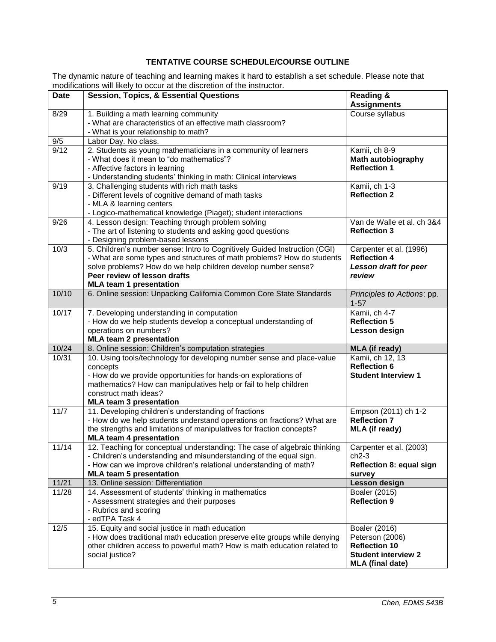# **TENTATIVE COURSE SCHEDULE/COURSE OUTLINE**

The dynamic nature of teaching and learning makes it hard to establish a set schedule. Please note that modifications will likely to occur at the discretion of the instructor.

|             | modifications will likely to occur at the discretion of the instructor.                                                                                                                                                                                                                |                                                                                                                   |
|-------------|----------------------------------------------------------------------------------------------------------------------------------------------------------------------------------------------------------------------------------------------------------------------------------------|-------------------------------------------------------------------------------------------------------------------|
| <b>Date</b> | <b>Session, Topics, &amp; Essential Questions</b>                                                                                                                                                                                                                                      | <b>Reading &amp;</b><br><b>Assignments</b>                                                                        |
| 8/29        | 1. Building a math learning community<br>- What are characteristics of an effective math classroom?<br>- What is your relationship to math?                                                                                                                                            | Course syllabus                                                                                                   |
| 9/5         | Labor Day. No class.                                                                                                                                                                                                                                                                   |                                                                                                                   |
| 9/12        | 2. Students as young mathematicians in a community of learners<br>- What does it mean to "do mathematics"?<br>- Affective factors in learning<br>- Understanding students' thinking in math: Clinical interviews                                                                       | Kamii, ch 8-9<br>Math autobiography<br><b>Reflection 1</b>                                                        |
| 9/19        | 3. Challenging students with rich math tasks<br>- Different levels of cognitive demand of math tasks<br>- MLA & learning centers<br>- Logico-mathematical knowledge (Piaget); student interactions                                                                                     | Kamii, ch 1-3<br><b>Reflection 2</b>                                                                              |
| 9/26        | 4. Lesson design: Teaching through problem solving<br>- The art of listening to students and asking good questions<br>- Designing problem-based lessons                                                                                                                                | Van de Walle et al. ch 3&4<br><b>Reflection 3</b>                                                                 |
| 10/3        | 5. Children's number sense: Intro to Cognitively Guided Instruction (CGI)<br>- What are some types and structures of math problems? How do students<br>solve problems? How do we help children develop number sense?<br>Peer review of lesson drafts<br><b>MLA team 1 presentation</b> | Carpenter et al. (1996)<br><b>Reflection 4</b><br>Lesson draft for peer<br>review                                 |
| 10/10       | 6. Online session: Unpacking California Common Core State Standards                                                                                                                                                                                                                    | Principles to Actions: pp.<br>$1 - 57$                                                                            |
| 10/17       | 7. Developing understanding in computation<br>- How do we help students develop a conceptual understanding of<br>operations on numbers?<br><b>MLA team 2 presentation</b>                                                                                                              | Kamii, ch 4-7<br><b>Reflection 5</b><br>Lesson design                                                             |
| 10/24       | 8. Online session: Children's computation strategies                                                                                                                                                                                                                                   | <b>MLA</b> (if ready)                                                                                             |
| 10/31       | 10. Using tools/technology for developing number sense and place-value<br>concepts<br>- How do we provide opportunities for hands-on explorations of<br>mathematics? How can manipulatives help or fail to help children<br>construct math ideas?<br><b>MLA team 3 presentation</b>    | Kamii, ch 12, 13<br><b>Reflection 6</b><br><b>Student Interview 1</b>                                             |
| 11/7        | 11. Developing children's understanding of fractions<br>- How do we help students understand operations on fractions? What are<br>the strengths and limitations of manipulatives for fraction concepts?<br><b>MLA team 4 presentation</b>                                              | Empson (2011) ch 1-2<br><b>Reflection 7</b><br><b>MLA</b> (if ready)                                              |
| 11/14       | 12. Teaching for conceptual understanding: The case of algebraic thinking<br>- Children's understanding and misunderstanding of the equal sign.<br>- How can we improve children's relational understanding of math?<br><b>MLA team 5 presentation</b>                                 | Carpenter et al. (2003)<br>$ch2-3$<br><b>Reflection 8: equal sign</b><br>survey                                   |
| 11/21       | 13. Online session: Differentiation                                                                                                                                                                                                                                                    | Lesson design                                                                                                     |
| 11/28       | 14. Assessment of students' thinking in mathematics<br>- Assessment strategies and their purposes<br>- Rubrics and scoring<br>- edTPA Task 4                                                                                                                                           | Boaler (2015)<br><b>Reflection 9</b>                                                                              |
| 12/5        | 15. Equity and social justice in math education<br>- How does traditional math education preserve elite groups while denying<br>other children access to powerful math? How is math education related to<br>social justice?                                                            | Boaler (2016)<br>Peterson (2006)<br><b>Reflection 10</b><br><b>Student interview 2</b><br><b>MLA</b> (final date) |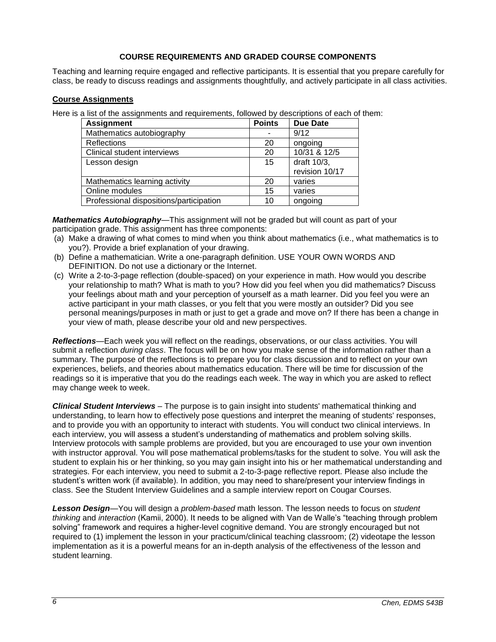# **COURSE REQUIREMENTS AND GRADED COURSE COMPONENTS**

Teaching and learning require engaged and reflective participants. It is essential that you prepare carefully for class, be ready to discuss readings and assignments thoughtfully, and actively participate in all class activities.

### **Course Assignments**

Here is a list of the assignments and requirements, followed by descriptions of each of them:

| <b>Assignment</b>                       | <b>Points</b> | <b>Due Date</b> |
|-----------------------------------------|---------------|-----------------|
| Mathematics autobiography               |               | 9/12            |
| Reflections                             | 20            | ongoing         |
| Clinical student interviews             | 20            | 10/31 & 12/5    |
| Lesson design                           | 15            | draft 10/3,     |
|                                         |               | revision 10/17  |
| Mathematics learning activity           | 20            | varies          |
| Online modules                          | 15            | varies          |
| Professional dispositions/participation | 10            | ongoing         |

*Mathematics Autobiography*—This assignment will not be graded but will count as part of your participation grade. This assignment has three components:

- (a) Make a drawing of what comes to mind when you think about mathematics (i.e., what mathematics is to you?). Provide a brief explanation of your drawing.
- (b) Define a mathematician. Write a one-paragraph definition. USE YOUR OWN WORDS AND DEFINITION. Do not use a dictionary or the Internet.
- (c) Write a 2-to-3-page reflection (double-spaced) on your experience in math. How would you describe your relationship to math? What is math to you? How did you feel when you did mathematics? Discuss your feelings about math and your perception of yourself as a math learner. Did you feel you were an active participant in your math classes, or you felt that you were mostly an outsider? Did you see personal meanings/purposes in math or just to get a grade and move on? If there has been a change in your view of math, please describe your old and new perspectives.

*Reflections*—Each week you will reflect on the readings, observations, or our class activities. You will submit a reflection *during class*. The focus will be on how you make sense of the information rather than a summary. The purpose of the reflections is to prepare you for class discussion and to reflect on your own experiences, beliefs, and theories about mathematics education. There will be time for discussion of the readings so it is imperative that you do the readings each week. The way in which you are asked to reflect may change week to week.

*Clinical Student Interviews* – The purpose is to gain insight into students' mathematical thinking and understanding, to learn how to effectively pose questions and interpret the meaning of students' responses, and to provide you with an opportunity to interact with students. You will conduct two clinical interviews. In each interview, you will assess a student's understanding of mathematics and problem solving skills. Interview protocols with sample problems are provided, but you are encouraged to use your own invention with instructor approval. You will pose mathematical problems/tasks for the student to solve. You will ask the student to explain his or her thinking, so you may gain insight into his or her mathematical understanding and strategies. For each interview, you need to submit a 2-to-3-page reflective report. Please also include the student's written work (if available). In addition, you may need to share/present your interview findings in class. See the Student Interview Guidelines and a sample interview report on Cougar Courses.

*Lesson Design*—You will design a *problem-based* math lesson. The lesson needs to focus on *student thinking* and *interaction* (Kamii, 2000). It needs to be aligned with Van de Walle's "teaching through problem solving" framework and requires a higher-level cognitive demand. You are strongly encouraged but not required to (1) implement the lesson in your practicum/clinical teaching classroom; (2) videotape the lesson implementation as it is a powerful means for an in-depth analysis of the effectiveness of the lesson and student learning.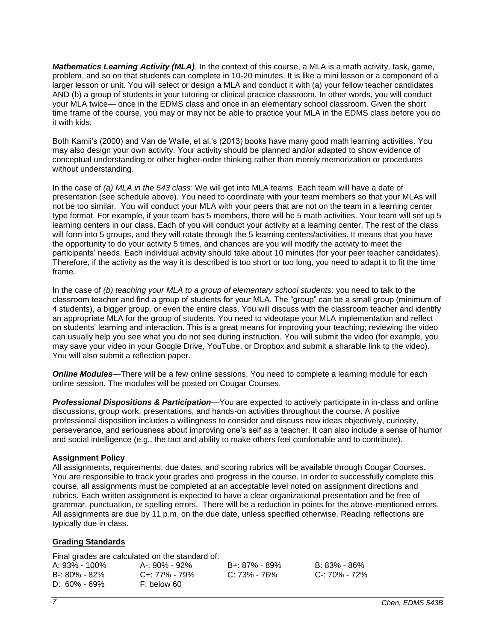*Mathematics Learning Activity (MLA)*. In the context of this course, a MLA is a math activity, task, game, problem, and so on that students can complete in 10-20 minutes. It is like a mini lesson or a component of a larger lesson or unit. You will select or design a MLA and conduct it with (a) your fellow teacher candidates AND (b) a group of students in your tutoring or clinical practice classroom. In other words, you will conduct your MLA twice— once in the EDMS class and once in an elementary school classroom. Given the short time frame of the course, you may or may not be able to practice your MLA in the EDMS class before you do it with kids.

Both Kamii's (2000) and Van de Walle, et al.'s (2013) books have many good math learning activities. You may also design your own activity. Your activity should be planned and/or adapted to show evidence of conceptual understanding or other higher-order thinking rather than merely memorization or procedures without understanding.

In the case of *(a) MLA in the 543 class*: We will get into MLA teams. Each team will have a date of presentation (see schedule above). You need to coordinate with your team members so that your MLAs will not be too similar. You will conduct your MLA with your peers that are not on the team in a learning center type format. For example, if your team has 5 members, there will be 5 math activities. Your team will set up 5 learning centers in our class. Each of you will conduct your activity at a learning center. The rest of the class will form into 5 groups, and they will rotate through the 5 learning centers/activities. It means that you have the opportunity to do your activity 5 times, and chances are you will modify the activity to meet the participants' needs. Each individual activity should take about 10 minutes (for your peer teacher candidates). Therefore, if the activity as the way it is described is too short or too long, you need to adapt it to fit the time frame.

In the case of *(b) teaching your MLA to a group of elementary school students*: you need to talk to the classroom teacher and find a group of students for your MLA. The "group" can be a small group (minimum of 4 students), a bigger group, or even the entire class. You will discuss with the classroom teacher and identify an appropriate MLA for the group of students. You need to videotape your MLA implementation and reflect on students' learning and interaction. This is a great means for improving your teaching; reviewing the video can usually help you see what you do not see during instruction. You will submit the video (for example, you may save your video in your Google Drive, YouTube, or Dropbox and submit a sharable link to the video). You will also submit a reflection paper.

**Online Modules**—There will be a few online sessions. You need to complete a learning module for each online session. The modules will be posted on Cougar Courses.

*Professional Dispositions & Participation*—You are expected to actively participate in in-class and online discussions, group work, presentations, and hands-on activities throughout the course. A positive professional disposition includes a willingness to consider and discuss new ideas objectively, curiosity, perseverance, and seriousness about improving one's self as a teacher. It can also include a sense of humor and social intelligence (e.g., the tact and ability to make others feel comfortable and to contribute).

#### **Assignment Policy**

All assignments, requirements, due dates, and scoring rubrics will be available through Cougar Courses. You are responsible to track your grades and progress in the course. In order to successfully complete this course, all assignments must be completed at an acceptable level noted on assignment directions and rubrics. Each written assignment is expected to have a clear organizational presentation and be free of grammar, punctuation, or spelling errors. There will be a reduction in points for the above-mentioned errors. All assignments are due by 11 p.m. on the due date, unless specified otherwise. Reading reflections are typically due in class.

# **Grading Standards**

Final grades are calculated on the standard of:

| A: 93% - 100% | A-: 90% - 92% | B+: 87% - 89%    | B: 83% - 86%  |
|---------------|---------------|------------------|---------------|
| B-: 80% - 82% | C+: 77% - 79% | $C: 73\% - 76\%$ | C-: 70% - 72% |
| D: 60% - 69%  | F: below 60   |                  |               |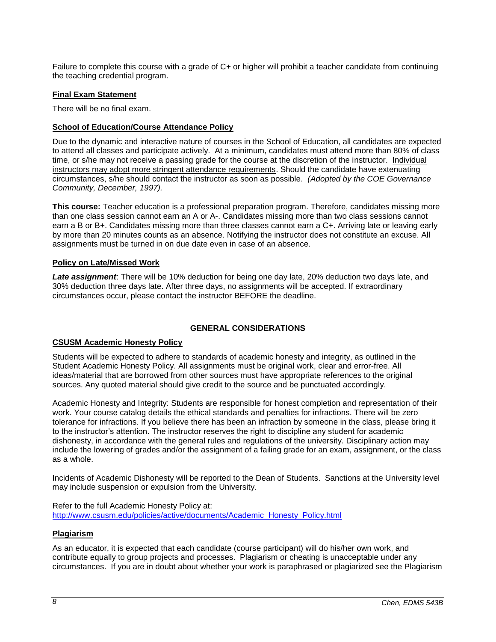Failure to complete this course with a grade of C+ or higher will prohibit a teacher candidate from continuing the teaching credential program.

#### **Final Exam Statement**

There will be no final exam.

#### **School of Education/Course Attendance Policy**

Due to the dynamic and interactive nature of courses in the School of Education, all candidates are expected to attend all classes and participate actively. At a minimum, candidates must attend more than 80% of class time, or s/he may not receive a passing grade for the course at the discretion of the instructor. Individual instructors may adopt more stringent attendance requirements. Should the candidate have extenuating circumstances, s/he should contact the instructor as soon as possible. *(Adopted by the COE Governance Community, December, 1997).*

**This course:** Teacher education is a professional preparation program. Therefore, candidates missing more than one class session cannot earn an A or A-. Candidates missing more than two class sessions cannot earn a B or B+. Candidates missing more than three classes cannot earn a C+. Arriving late or leaving early by more than 20 minutes counts as an absence. Notifying the instructor does not constitute an excuse. All assignments must be turned in on due date even in case of an absence.

#### **Policy on Late/Missed Work**

*Late assignment*: There will be 10% deduction for being one day late, 20% deduction two days late, and 30% deduction three days late. After three days, no assignments will be accepted. If extraordinary circumstances occur, please contact the instructor BEFORE the deadline.

#### **GENERAL CONSIDERATIONS**

#### **CSUSM Academic Honesty Policy**

Students will be expected to adhere to standards of academic honesty and integrity, as outlined in the Student Academic Honesty Policy. All assignments must be original work, clear and error-free. All ideas/material that are borrowed from other sources must have appropriate references to the original sources. Any quoted material should give credit to the source and be punctuated accordingly.

Academic Honesty and Integrity: Students are responsible for honest completion and representation of their work. Your course catalog details the ethical standards and penalties for infractions. There will be zero tolerance for infractions. If you believe there has been an infraction by someone in the class, please bring it to the instructor's attention. The instructor reserves the right to discipline any student for academic dishonesty, in accordance with the general rules and regulations of the university. Disciplinary action may include the lowering of grades and/or the assignment of a failing grade for an exam, assignment, or the class as a whole.

Incidents of Academic Dishonesty will be reported to the Dean of Students. Sanctions at the University level may include suspension or expulsion from the University.

Refer to the full Academic Honesty Policy at: [http://www.csusm.edu/policies/active/documents/Academic\\_Honesty\\_Policy.html](http://www.csusm.edu/policies/active/documents/Academic_Honesty_Policy.html)

#### **Plagiarism**

As an educator, it is expected that each candidate (course participant) will do his/her own work, and contribute equally to group projects and processes. Plagiarism or cheating is unacceptable under any circumstances. If you are in doubt about whether your work is paraphrased or plagiarized see the Plagiarism